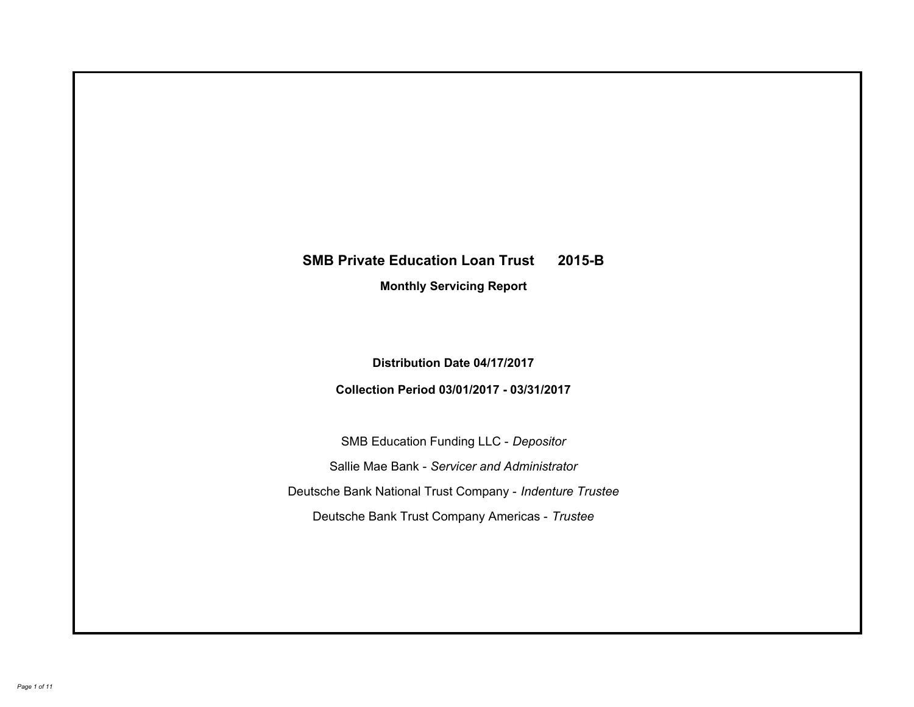# **SMB Private Education Loan Trust 2015-B Monthly Servicing Report**

**Distribution Date 04/17/2017**

**Collection Period 03/01/2017 - 03/31/2017**

SMB Education Funding LLC - *Depositor* Sallie Mae Bank - *Servicer and Administrator* Deutsche Bank National Trust Company - *Indenture Trustee* Deutsche Bank Trust Company Americas - *Trustee*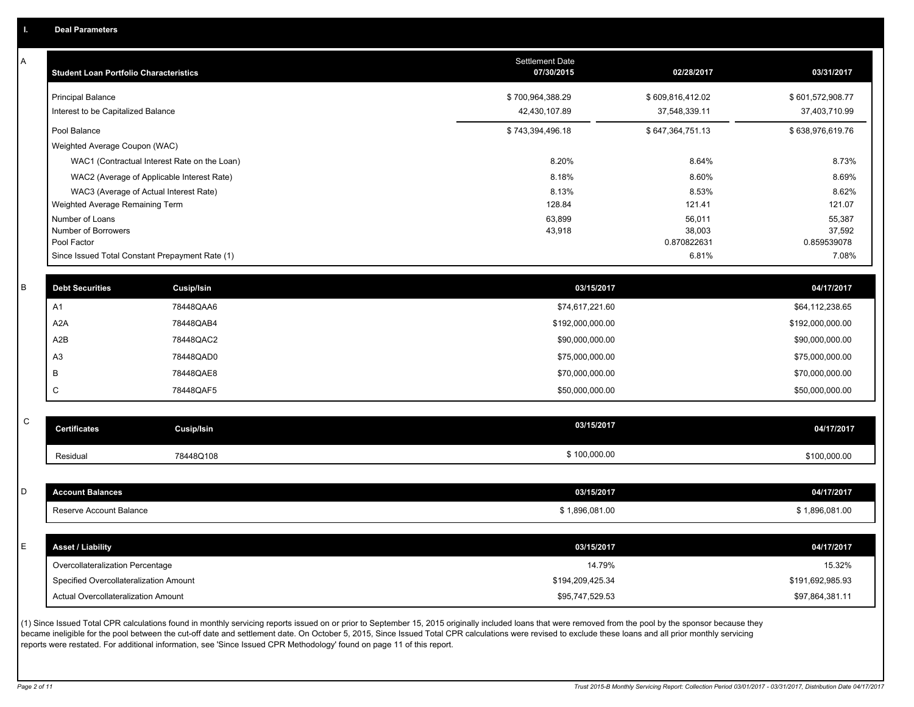A

| A | <b>Student Loan Portfolio Characteristics</b> |                                                 | <b>Settlement Date</b><br>07/30/2015 | 02/28/2017            | 03/31/2017            |
|---|-----------------------------------------------|-------------------------------------------------|--------------------------------------|-----------------------|-----------------------|
|   | <b>Principal Balance</b>                      |                                                 | \$700,964,388.29                     | \$609,816,412.02      | \$601,572,908.77      |
|   | Interest to be Capitalized Balance            |                                                 | 42,430,107.89                        | 37,548,339.11         | 37,403,710.99         |
|   | Pool Balance                                  |                                                 | \$743,394,496.18                     | \$647,364,751.13      | \$638,976,619.76      |
|   | Weighted Average Coupon (WAC)                 |                                                 |                                      |                       |                       |
|   |                                               | WAC1 (Contractual Interest Rate on the Loan)    | 8.20%                                | 8.64%                 | 8.73%                 |
|   |                                               | WAC2 (Average of Applicable Interest Rate)      | 8.18%                                | 8.60%                 | 8.69%                 |
|   |                                               | WAC3 (Average of Actual Interest Rate)          | 8.13%                                | 8.53%                 | 8.62%                 |
|   | Weighted Average Remaining Term               |                                                 | 128.84                               | 121.41                | 121.07                |
|   | Number of Loans                               |                                                 | 63,899                               | 56,011                | 55,387                |
|   | Number of Borrowers<br>Pool Factor            |                                                 | 43,918                               | 38,003<br>0.870822631 | 37,592<br>0.859539078 |
|   |                                               | Since Issued Total Constant Prepayment Rate (1) |                                      | 6.81%                 | 7.08%                 |
|   |                                               |                                                 |                                      |                       |                       |
| B | <b>Debt Securities</b>                        | <b>Cusip/Isin</b>                               | 03/15/2017                           |                       | 04/17/2017            |
|   | A <sub>1</sub>                                | 78448QAA6                                       | \$74,617,221.60                      |                       | \$64,112,238.65       |
|   | A <sub>2</sub> A                              | 78448QAB4                                       | \$192,000,000.00                     |                       | \$192,000,000.00      |
|   | A2B                                           | 78448QAC2                                       | \$90,000,000.00                      |                       | \$90,000,000.00       |
|   | A <sub>3</sub>                                | 78448QAD0                                       | \$75,000,000.00                      |                       | \$75,000,000.00       |
|   | B                                             | 78448QAE8                                       | \$70,000,000.00                      |                       | \$70,000,000.00       |
|   | $\mathbf C$                                   | 78448QAF5                                       | \$50,000,000.00                      |                       | \$50,000,000.00       |
|   |                                               |                                                 |                                      |                       |                       |
| C | <b>Certificates</b>                           | Cusip/Isin                                      | 03/15/2017                           |                       | 04/17/2017            |
|   | Residual                                      | 78448Q108                                       | \$100,000.00                         |                       | \$100,000.00          |
|   |                                               |                                                 |                                      |                       |                       |
| D | <b>Account Balances</b>                       |                                                 | 03/15/2017                           |                       | 04/17/2017            |
|   | Reserve Account Balance                       |                                                 | \$1,896,081.00                       |                       | \$1,896,081.00        |
|   |                                               |                                                 |                                      |                       |                       |
| F | <b>Asset / Liability</b>                      |                                                 | 03/15/2017                           |                       | 04/17/2017            |
|   | Overcollateralization Percentage              |                                                 | 14.79%                               |                       | 15.32%                |
|   | Specified Overcollateralization Amount        |                                                 | \$194,209,425.34                     |                       | \$191,692,985.93      |
|   | Actual Overcollateralization Amount           |                                                 | \$95,747,529.53                      |                       | \$97,864,381.11       |

(1) Since Issued Total CPR calculations found in monthly servicing reports issued on or prior to September 15, 2015 originally included loans that were removed from the pool by the sponsor because they became ineligible for the pool between the cut-off date and settlement date. On October 5, 2015, Since Issued Total CPR calculations were revised to exclude these loans and all prior monthly servicing reports were restated. For additional information, see 'Since Issued CPR Methodology' found on page 11 of this report.

C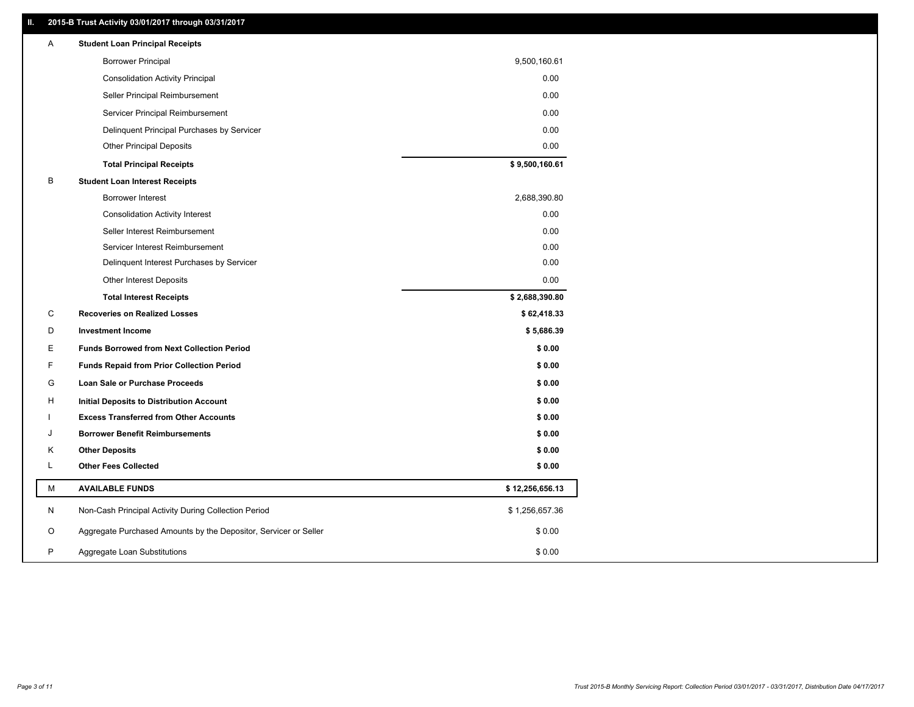## **II. 2015-B Trust Activity 03/01/2017 through 03/31/2017**

| Α | <b>Student Loan Principal Receipts</b>                           |                 |
|---|------------------------------------------------------------------|-----------------|
|   | <b>Borrower Principal</b>                                        | 9,500,160.61    |
|   | <b>Consolidation Activity Principal</b>                          | 0.00            |
|   | Seller Principal Reimbursement                                   | 0.00            |
|   | Servicer Principal Reimbursement                                 | 0.00            |
|   | Delinquent Principal Purchases by Servicer                       | 0.00            |
|   | <b>Other Principal Deposits</b>                                  | 0.00            |
|   | <b>Total Principal Receipts</b>                                  | \$9,500,160.61  |
| B | <b>Student Loan Interest Receipts</b>                            |                 |
|   | <b>Borrower Interest</b>                                         | 2,688,390.80    |
|   | <b>Consolidation Activity Interest</b>                           | 0.00            |
|   | Seller Interest Reimbursement                                    | 0.00            |
|   | Servicer Interest Reimbursement                                  | 0.00            |
|   | Delinquent Interest Purchases by Servicer                        | 0.00            |
|   | <b>Other Interest Deposits</b>                                   | 0.00            |
|   | <b>Total Interest Receipts</b>                                   | \$2,688,390.80  |
| С | <b>Recoveries on Realized Losses</b>                             | \$62,418.33     |
| D | <b>Investment Income</b>                                         | \$5,686.39      |
| Е | <b>Funds Borrowed from Next Collection Period</b>                | \$0.00          |
| F | <b>Funds Repaid from Prior Collection Period</b>                 | \$0.00          |
| G | Loan Sale or Purchase Proceeds                                   | \$0.00          |
| H | Initial Deposits to Distribution Account                         | \$0.00          |
|   | <b>Excess Transferred from Other Accounts</b>                    | \$0.00          |
| J | <b>Borrower Benefit Reimbursements</b>                           | \$0.00          |
| Κ | <b>Other Deposits</b>                                            | \$0.00          |
| L | <b>Other Fees Collected</b>                                      | \$0.00          |
| M | <b>AVAILABLE FUNDS</b>                                           | \$12,256,656.13 |
| N | Non-Cash Principal Activity During Collection Period             | \$1,256,657.36  |
| O | Aggregate Purchased Amounts by the Depositor, Servicer or Seller | \$0.00          |
| P | Aggregate Loan Substitutions                                     | \$0.00          |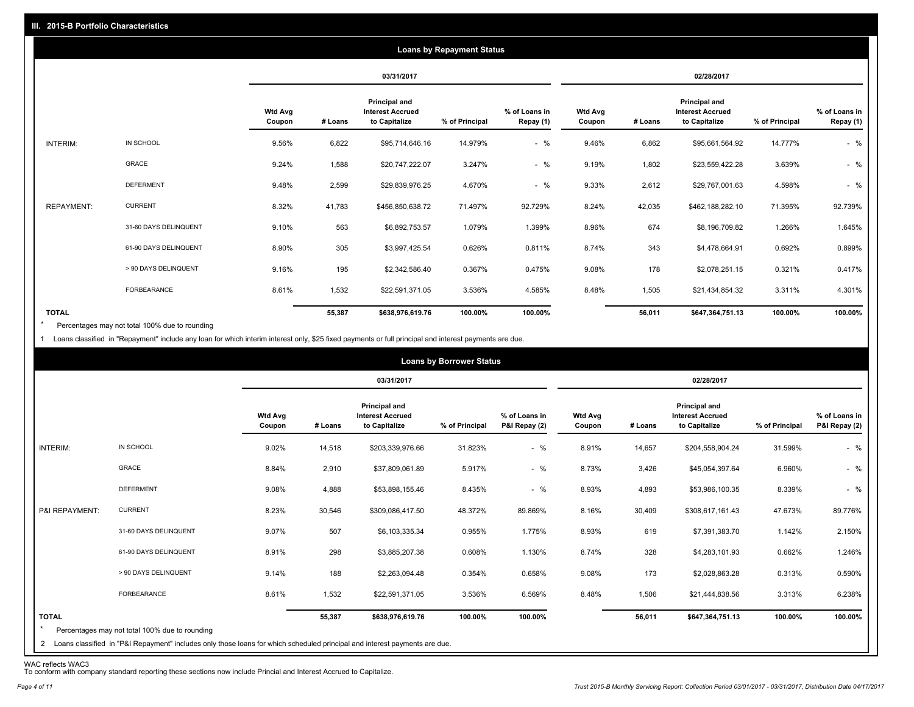|                   |                       |                   |         |                                                           | <b>Loans by Repayment Status</b> |                            |                          |         |                                                                  |                |                            |
|-------------------|-----------------------|-------------------|---------|-----------------------------------------------------------|----------------------------------|----------------------------|--------------------------|---------|------------------------------------------------------------------|----------------|----------------------------|
|                   |                       |                   |         | 03/31/2017                                                |                                  |                            |                          |         | 02/28/2017                                                       |                |                            |
|                   |                       | Wtd Avg<br>Coupon | # Loans | Principal and<br><b>Interest Accrued</b><br>to Capitalize | % of Principal                   | % of Loans in<br>Repay (1) | <b>Wtd Avg</b><br>Coupon | # Loans | <b>Principal and</b><br><b>Interest Accrued</b><br>to Capitalize | % of Principal | % of Loans in<br>Repay (1) |
| INTERIM:          | IN SCHOOL             | 9.56%             | 6,822   | \$95,714,646.16                                           | 14.979%                          | $-$ %                      | 9.46%                    | 6,862   | \$95,661,564.92                                                  | 14.777%        | $-$ %                      |
|                   | GRACE                 | 9.24%             | 1,588   | \$20,747,222.07                                           | 3.247%                           | $-$ %                      | 9.19%                    | 1,802   | \$23,559,422.28                                                  | 3.639%         | $-$ %                      |
|                   | <b>DEFERMENT</b>      | 9.48%             | 2,599   | \$29,839,976.25                                           | 4.670%                           | $-$ %                      | 9.33%                    | 2,612   | \$29,767,001.63                                                  | 4.598%         | $-$ %                      |
| <b>REPAYMENT:</b> | <b>CURRENT</b>        | 8.32%             | 41,783  | \$456,850,638.72                                          | 71.497%                          | 92.729%                    | 8.24%                    | 42,035  | \$462,188,282.10                                                 | 71.395%        | 92.739%                    |
|                   | 31-60 DAYS DELINQUENT | 9.10%             | 563     | \$6,892,753.57                                            | 1.079%                           | 1.399%                     | 8.96%                    | 674     | \$8,196,709.82                                                   | 1.266%         | 1.645%                     |
|                   | 61-90 DAYS DELINQUENT | 8.90%             | 305     | \$3,997,425.54                                            | 0.626%                           | 0.811%                     | 8.74%                    | 343     | \$4,478,664.91                                                   | 0.692%         | 0.899%                     |
|                   | > 90 DAYS DELINQUENT  | 9.16%             | 195     | \$2,342,586.40                                            | 0.367%                           | 0.475%                     | 9.08%                    | 178     | \$2,078,251.15                                                   | 0.321%         | 0.417%                     |
|                   | FORBEARANCE           | 8.61%             | 1,532   | \$22,591,371.05                                           | 3.536%                           | 4.585%                     | 8.48%                    | 1,505   | \$21,434,854.32                                                  | 3.311%         | 4.301%                     |
| <b>TOTAL</b>      |                       |                   | 55,387  | \$638,976,619.76                                          | 100.00%                          | 100.00%                    |                          | 56,011  | \$647,364,751.13                                                 | 100.00%        | 100.00%                    |

Percentages may not total 100% due to rounding \*

1 Loans classified in "Repayment" include any loan for which interim interest only, \$25 fixed payments or full principal and interest payments are due.

|                         |                                                                                                                              |                          |         |                                                           | <b>Loans by Borrower Status</b> |                                |                          |         |                                                                  |                |                                |
|-------------------------|------------------------------------------------------------------------------------------------------------------------------|--------------------------|---------|-----------------------------------------------------------|---------------------------------|--------------------------------|--------------------------|---------|------------------------------------------------------------------|----------------|--------------------------------|
|                         |                                                                                                                              |                          |         | 03/31/2017                                                |                                 |                                |                          |         | 02/28/2017                                                       |                |                                |
|                         |                                                                                                                              | <b>Wtd Avg</b><br>Coupon | # Loans | Principal and<br><b>Interest Accrued</b><br>to Capitalize | % of Principal                  | % of Loans in<br>P&I Repay (2) | <b>Wtd Avg</b><br>Coupon | # Loans | <b>Principal and</b><br><b>Interest Accrued</b><br>to Capitalize | % of Principal | % of Loans in<br>P&I Repay (2) |
| INTERIM:                | IN SCHOOL                                                                                                                    | 9.02%                    | 14,518  | \$203,339,976.66                                          | 31.823%                         | $-$ %                          | 8.91%                    | 14,657  | \$204,558,904.24                                                 | 31.599%        | $-$ %                          |
|                         | GRACE                                                                                                                        | 8.84%                    | 2,910   | \$37,809,061.89                                           | 5.917%                          | $-$ %                          | 8.73%                    | 3,426   | \$45,054,397.64                                                  | 6.960%         | $-$ %                          |
|                         | <b>DEFERMENT</b>                                                                                                             | 9.08%                    | 4,888   | \$53,898,155.46                                           | 8.435%                          | $-$ %                          | 8.93%                    | 4,893   | \$53,986,100.35                                                  | 8.339%         | $-$ %                          |
| P&I REPAYMENT:          | <b>CURRENT</b>                                                                                                               | 8.23%                    | 30,546  | \$309,086,417.50                                          | 48.372%                         | 89.869%                        | 8.16%                    | 30,409  | \$308,617,161.43                                                 | 47.673%        | 89.776%                        |
|                         | 31-60 DAYS DELINQUENT                                                                                                        | 9.07%                    | 507     | \$6,103,335.34                                            | 0.955%                          | 1.775%                         | 8.93%                    | 619     | \$7,391,383.70                                                   | 1.142%         | 2.150%                         |
|                         | 61-90 DAYS DELINQUENT                                                                                                        | 8.91%                    | 298     | \$3,885,207.38                                            | 0.608%                          | 1.130%                         | 8.74%                    | 328     | \$4,283,101.93                                                   | 0.662%         | 1.246%                         |
|                         | > 90 DAYS DELINQUENT                                                                                                         | 9.14%                    | 188     | \$2,263,094.48                                            | 0.354%                          | 0.658%                         | 9.08%                    | 173     | \$2,028,863.28                                                   | 0.313%         | 0.590%                         |
|                         | <b>FORBEARANCE</b>                                                                                                           | 8.61%                    | 1,532   | \$22,591,371.05                                           | 3.536%                          | 6.569%                         | 8.48%                    | 1,506   | \$21,444,838.56                                                  | 3.313%         | 6.238%                         |
| <b>TOTAL</b><br>$\star$ | Percentages may not total 100% due to rounding                                                                               |                          | 55,387  | \$638,976,619.76                                          | 100.00%                         | 100.00%                        |                          | 56,011  | \$647,364,751.13                                                 | 100.00%        | 100.00%                        |
|                         | 2 Loans classified in "P&I Repayment" includes only those loans for which scheduled principal and interest payments are due. |                          |         |                                                           |                                 |                                |                          |         |                                                                  |                |                                |

WAC reflects WAC3 To conform with company standard reporting these sections now include Princial and Interest Accrued to Capitalize.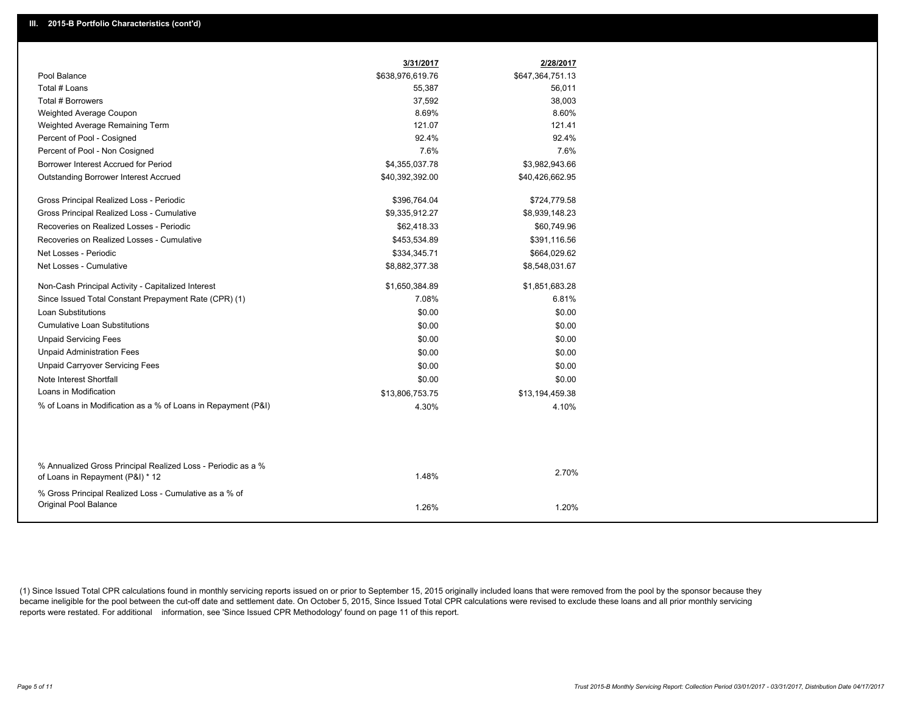|                                                                                                  | 3/31/2017        | 2/28/2017        |
|--------------------------------------------------------------------------------------------------|------------------|------------------|
| Pool Balance                                                                                     | \$638,976,619.76 | \$647,364,751.13 |
| Total # Loans                                                                                    | 55,387           | 56,011           |
| Total # Borrowers                                                                                | 37,592           | 38,003           |
| Weighted Average Coupon                                                                          | 8.69%            | 8.60%            |
| Weighted Average Remaining Term                                                                  | 121.07           | 121.41           |
| Percent of Pool - Cosigned                                                                       | 92.4%            | 92.4%            |
| Percent of Pool - Non Cosigned                                                                   | 7.6%             | 7.6%             |
| Borrower Interest Accrued for Period                                                             | \$4,355,037.78   | \$3,982,943.66   |
| <b>Outstanding Borrower Interest Accrued</b>                                                     | \$40,392,392.00  | \$40,426,662.95  |
| Gross Principal Realized Loss - Periodic                                                         | \$396,764.04     | \$724,779.58     |
| Gross Principal Realized Loss - Cumulative                                                       | \$9,335,912.27   | \$8,939,148.23   |
| Recoveries on Realized Losses - Periodic                                                         | \$62,418.33      | \$60,749.96      |
| Recoveries on Realized Losses - Cumulative                                                       | \$453,534.89     | \$391,116.56     |
| Net Losses - Periodic                                                                            | \$334,345.71     | \$664,029.62     |
| Net Losses - Cumulative                                                                          | \$8,882,377.38   | \$8,548,031.67   |
| Non-Cash Principal Activity - Capitalized Interest                                               | \$1,650,384.89   | \$1,851,683.28   |
| Since Issued Total Constant Prepayment Rate (CPR) (1)                                            | 7.08%            | 6.81%            |
| <b>Loan Substitutions</b>                                                                        | \$0.00           | \$0.00           |
| <b>Cumulative Loan Substitutions</b>                                                             | \$0.00           | \$0.00           |
| <b>Unpaid Servicing Fees</b>                                                                     | \$0.00           | \$0.00           |
| <b>Unpaid Administration Fees</b>                                                                | \$0.00           | \$0.00           |
| <b>Unpaid Carryover Servicing Fees</b>                                                           | \$0.00           | \$0.00           |
| Note Interest Shortfall                                                                          | \$0.00           | \$0.00           |
| Loans in Modification                                                                            | \$13,806,753.75  | \$13,194,459.38  |
| % of Loans in Modification as a % of Loans in Repayment (P&I)                                    | 4.30%            | 4.10%            |
|                                                                                                  |                  |                  |
|                                                                                                  |                  |                  |
| % Annualized Gross Principal Realized Loss - Periodic as a %<br>of Loans in Repayment (P&I) * 12 | 1.48%            | 2.70%            |
| % Gross Principal Realized Loss - Cumulative as a % of                                           |                  |                  |
| Original Pool Balance                                                                            | 1.26%            | 1.20%            |

(1) Since Issued Total CPR calculations found in monthly servicing reports issued on or prior to September 15, 2015 originally included loans that were removed from the pool by the sponsor because they became ineligible for the pool between the cut-off date and settlement date. On October 5, 2015, Since Issued Total CPR calculations were revised to exclude these loans and all prior monthly servicing reports were restated. For additional information, see 'Since Issued CPR Methodology' found on page 11 of this report.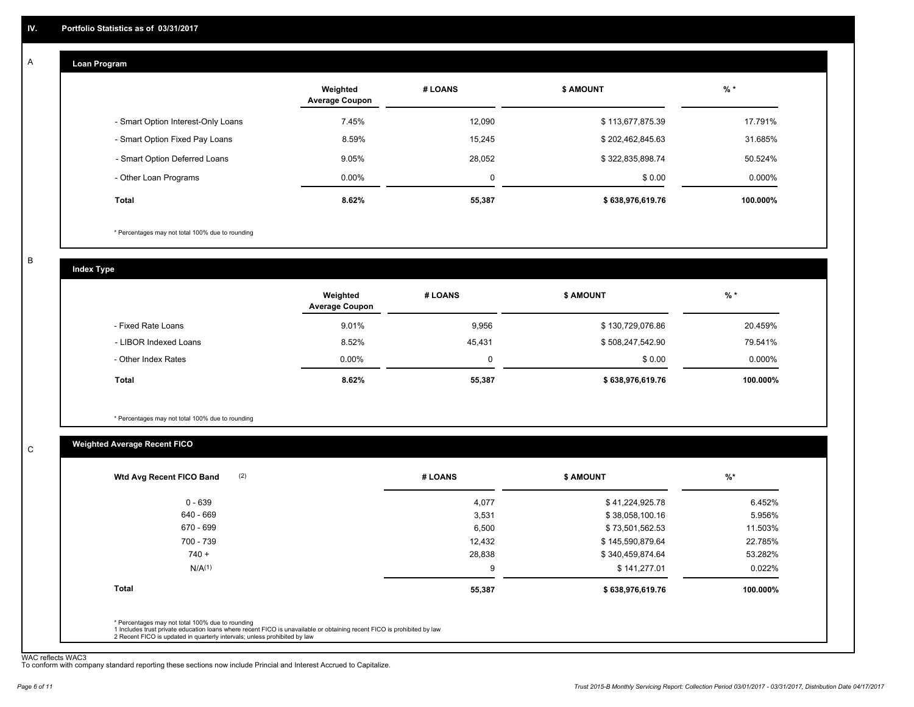#### **Loan Program**  A

|                                    | Weighted<br><b>Average Coupon</b> | # LOANS | <b>\$ AMOUNT</b> | $%$ *    |
|------------------------------------|-----------------------------------|---------|------------------|----------|
| - Smart Option Interest-Only Loans | 7.45%                             | 12,090  | \$113,677,875.39 | 17.791%  |
| - Smart Option Fixed Pay Loans     | 8.59%                             | 15,245  | \$202,462,845.63 | 31.685%  |
| - Smart Option Deferred Loans      | 9.05%                             | 28,052  | \$322,835,898.74 | 50.524%  |
| - Other Loan Programs              | $0.00\%$                          | 0       | \$0.00           | 0.000%   |
| <b>Total</b>                       | 8.62%                             | 55,387  | \$638,976,619.76 | 100.000% |

\* Percentages may not total 100% due to rounding

B

C

**Index Type**

|                       | Weighted<br><b>Average Coupon</b> | # LOANS | <b>S AMOUNT</b>  | $%$ *     |
|-----------------------|-----------------------------------|---------|------------------|-----------|
| - Fixed Rate Loans    | 9.01%                             | 9,956   | \$130,729,076.86 | 20.459%   |
| - LIBOR Indexed Loans | 8.52%                             | 45,431  | \$508,247,542.90 | 79.541%   |
| - Other Index Rates   | $0.00\%$                          |         | \$0.00           | $0.000\%$ |
| <b>Total</b>          | 8.62%                             | 55,387  | \$638,976,619.76 | 100.000%  |

\* Percentages may not total 100% due to rounding

## **Weighted Average Recent FICO**

| 4,077  | \$41,224,925.78                                                                                                         |           |
|--------|-------------------------------------------------------------------------------------------------------------------------|-----------|
|        |                                                                                                                         | 6.452%    |
| 3,531  | \$38,058,100.16                                                                                                         | 5.956%    |
| 6,500  | \$73,501,562.53                                                                                                         | 11.503%   |
| 12,432 | \$145,590,879.64                                                                                                        | 22.785%   |
| 28,838 | \$340,459,874.64                                                                                                        | 53.282%   |
| 9      | \$141,277.01                                                                                                            | $0.022\%$ |
| 55,387 | \$638,976,619.76                                                                                                        | 100.000%  |
|        |                                                                                                                         |           |
|        | 1 Includes trust private education loans where recent FICO is unavailable or obtaining recent FICO is prohibited by law |           |

WAC reflects WAC3 To conform with company standard reporting these sections now include Princial and Interest Accrued to Capitalize.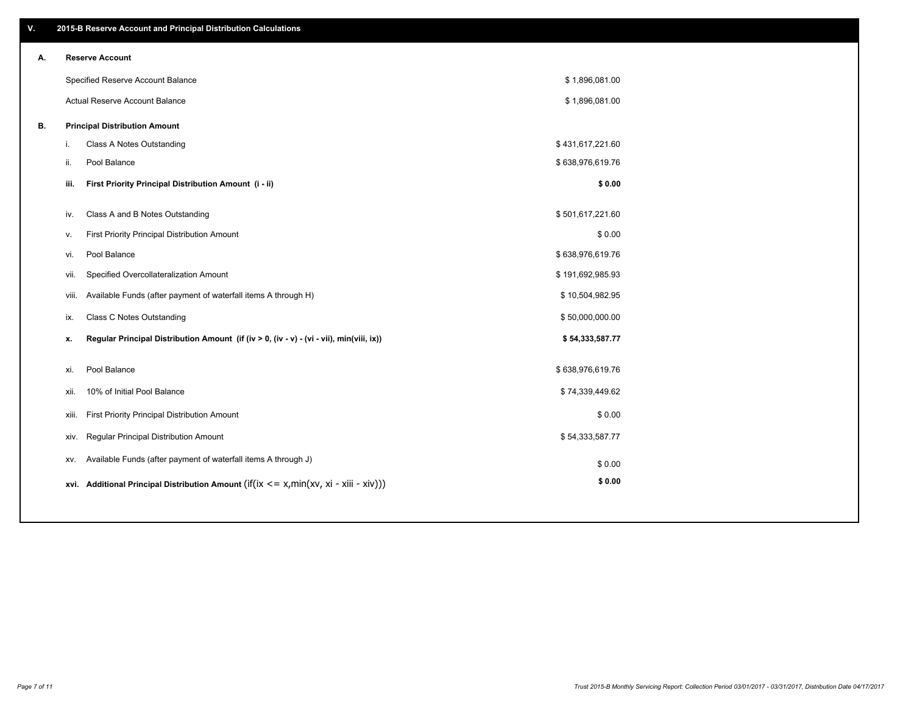| ۷. |      | 2015-B Reserve Account and Principal Distribution Calculations                             |                  |  |
|----|------|--------------------------------------------------------------------------------------------|------------------|--|
| А. |      | <b>Reserve Account</b>                                                                     |                  |  |
|    |      | Specified Reserve Account Balance                                                          | \$1,896,081.00   |  |
|    |      | Actual Reserve Account Balance                                                             | \$1,896,081.00   |  |
| В. |      | <b>Principal Distribution Amount</b>                                                       |                  |  |
|    | i.   | Class A Notes Outstanding                                                                  | \$431,617,221.60 |  |
|    | ii.  | Pool Balance                                                                               | \$638,976,619.76 |  |
|    | iii. | First Priority Principal Distribution Amount (i - ii)                                      | \$0.00           |  |
|    |      |                                                                                            |                  |  |
|    | iv.  | Class A and B Notes Outstanding                                                            | \$501,617,221.60 |  |
|    | v.   | First Priority Principal Distribution Amount                                               | \$0.00           |  |
|    | vi.  | Pool Balance                                                                               | \$638,976,619.76 |  |
|    |      | Specified Overcollateralization Amount<br>vii.                                             | \$191,692,985.93 |  |
|    |      | Available Funds (after payment of waterfall items A through H)<br>viii.                    | \$10,504,982.95  |  |
|    | ix.  | Class C Notes Outstanding                                                                  | \$50,000,000.00  |  |
|    | x.   | Regular Principal Distribution Amount (if (iv > 0, (iv - v) - (vi - vii), min(viii, ix))   | \$54,333,587.77  |  |
|    | xi.  | Pool Balance                                                                               | \$638,976,619.76 |  |
|    | xii. | 10% of Initial Pool Balance                                                                | \$74,339,449.62  |  |
|    |      |                                                                                            |                  |  |
|    |      | First Priority Principal Distribution Amount<br>xiii.                                      | \$0.00           |  |
|    |      | Regular Principal Distribution Amount<br>xiv.                                              | \$54,333,587.77  |  |
|    |      | Available Funds (after payment of waterfall items A through J)<br>XV.                      | \$0.00           |  |
|    |      | xvi. Additional Principal Distribution Amount (if(ix $\lt$ = x, min(xv, xi - xiii - xiv))) | \$0.00           |  |
|    |      |                                                                                            |                  |  |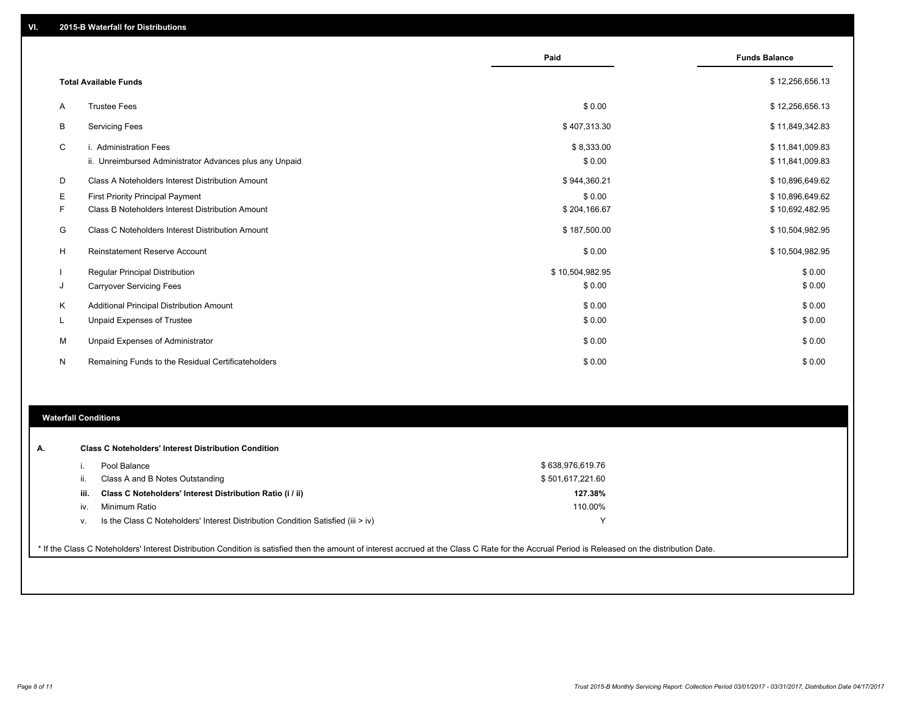|          |                                                         | Paid            | <b>Funds Balance</b> |
|----------|---------------------------------------------------------|-----------------|----------------------|
|          |                                                         |                 |                      |
|          | <b>Total Available Funds</b>                            |                 | \$12,256,656.13      |
| A        | <b>Trustee Fees</b>                                     | \$0.00          | \$12,256,656.13      |
| B        | <b>Servicing Fees</b>                                   | \$407,313.30    | \$11,849,342.83      |
| C        | i. Administration Fees                                  | \$8,333.00      | \$11,841,009.83      |
|          | ii. Unreimbursed Administrator Advances plus any Unpaid | \$0.00          | \$11,841,009.83      |
| D        | Class A Noteholders Interest Distribution Amount        | \$944,360.21    | \$10,896,649.62      |
| Ε        | <b>First Priority Principal Payment</b>                 | \$0.00          | \$10,896,649.62      |
| F        | Class B Noteholders Interest Distribution Amount        | \$204,166.67    | \$10,692,482.95      |
| G        | Class C Noteholders Interest Distribution Amount        | \$187,500.00    | \$10,504,982.95      |
| н        | <b>Reinstatement Reserve Account</b>                    | \$0.00          | \$10,504,982.95      |
|          | <b>Regular Principal Distribution</b>                   | \$10,504,982.95 | \$0.00               |
| J        | <b>Carryover Servicing Fees</b>                         | \$0.00          | \$0.00               |
| К        | Additional Principal Distribution Amount                | \$0.00          | \$0.00               |
| <b>L</b> | Unpaid Expenses of Trustee                              | \$0.00          | \$0.00               |
| М        | Unpaid Expenses of Administrator                        | \$0.00          | \$0.00               |
| N        | Remaining Funds to the Residual Certificateholders      | \$0.00          | \$0.00               |

#### **Waterfall Conditions**

|      | Pool Balance                                                                       | \$638,976,619.76 |  |
|------|------------------------------------------------------------------------------------|------------------|--|
| ii.  | Class A and B Notes Outstanding                                                    | \$501,617,221.60 |  |
| iii. | Class C Noteholders' Interest Distribution Ratio (i / ii)                          | 127.38%          |  |
| iv.  | Minimum Ratio                                                                      | 110.00%          |  |
| V.   | Is the Class C Noteholders' Interest Distribution Condition Satisfied (iii $>$ iv) |                  |  |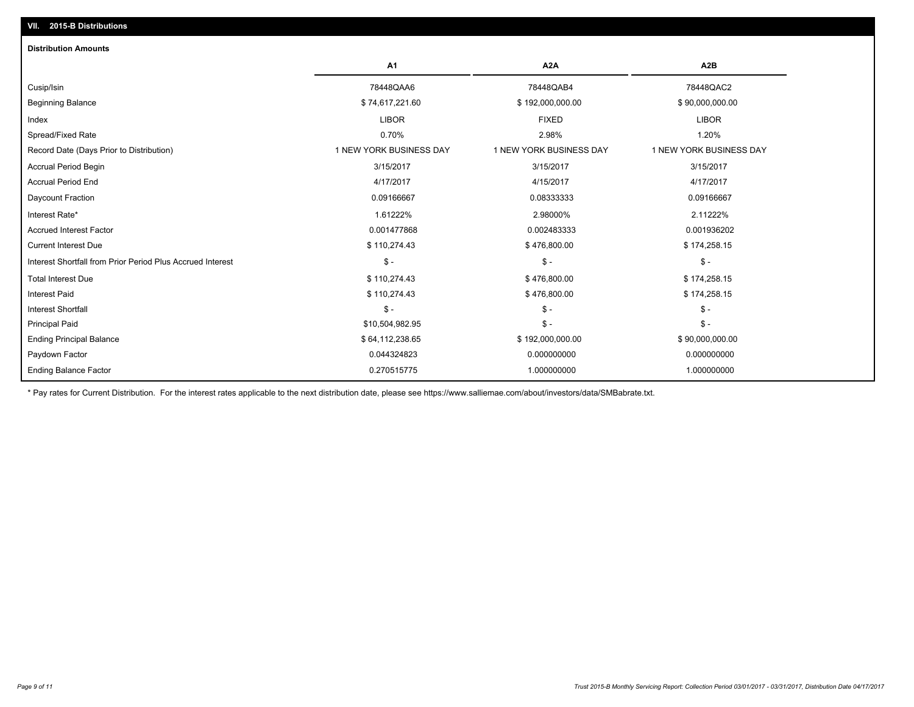| <b>Distribution Amounts</b>                                |                         |                         |                         |
|------------------------------------------------------------|-------------------------|-------------------------|-------------------------|
|                                                            | A <sub>1</sub>          | A2A                     | A2B                     |
| Cusip/Isin                                                 | 78448QAA6               | 78448QAB4               | 78448QAC2               |
| <b>Beginning Balance</b>                                   | \$74,617,221.60         | \$192,000,000.00        | \$90,000,000.00         |
| Index                                                      | <b>LIBOR</b>            | <b>FIXED</b>            | <b>LIBOR</b>            |
| Spread/Fixed Rate                                          | 0.70%                   | 2.98%                   | 1.20%                   |
| Record Date (Days Prior to Distribution)                   | 1 NEW YORK BUSINESS DAY | 1 NEW YORK BUSINESS DAY | 1 NEW YORK BUSINESS DAY |
| <b>Accrual Period Begin</b>                                | 3/15/2017               | 3/15/2017               | 3/15/2017               |
| <b>Accrual Period End</b>                                  | 4/17/2017               | 4/15/2017               | 4/17/2017               |
| Daycount Fraction                                          | 0.09166667              | 0.08333333              | 0.09166667              |
| Interest Rate*                                             | 1.61222%                | 2.98000%                | 2.11222%                |
| <b>Accrued Interest Factor</b>                             | 0.001477868             | 0.002483333             | 0.001936202             |
| <b>Current Interest Due</b>                                | \$110,274.43            | \$476,800.00            | \$174,258.15            |
| Interest Shortfall from Prior Period Plus Accrued Interest | $\mathsf{\$}$ -         | $\frac{1}{2}$           | $\frac{2}{3}$ -         |
| <b>Total Interest Due</b>                                  | \$110,274.43            | \$476,800.00            | \$174,258.15            |
| <b>Interest Paid</b>                                       | \$110,274.43            | \$476,800.00            | \$174,258.15            |
| <b>Interest Shortfall</b>                                  | $\mathsf{\$}$ -         | $$ -$                   | $\mathsf{\$}$ -         |
| <b>Principal Paid</b>                                      | \$10,504,982.95         | $S -$                   | $S -$                   |
| <b>Ending Principal Balance</b>                            | \$64,112,238.65         | \$192,000,000.00        | \$90,000,000.00         |
| Paydown Factor                                             | 0.044324823             | 0.000000000             | 0.000000000             |
| <b>Ending Balance Factor</b>                               | 0.270515775             | 1.000000000             | 1.000000000             |

\* Pay rates for Current Distribution. For the interest rates applicable to the next distribution date, please see https://www.salliemae.com/about/investors/data/SMBabrate.txt.

**VII. 2015-B Distributions**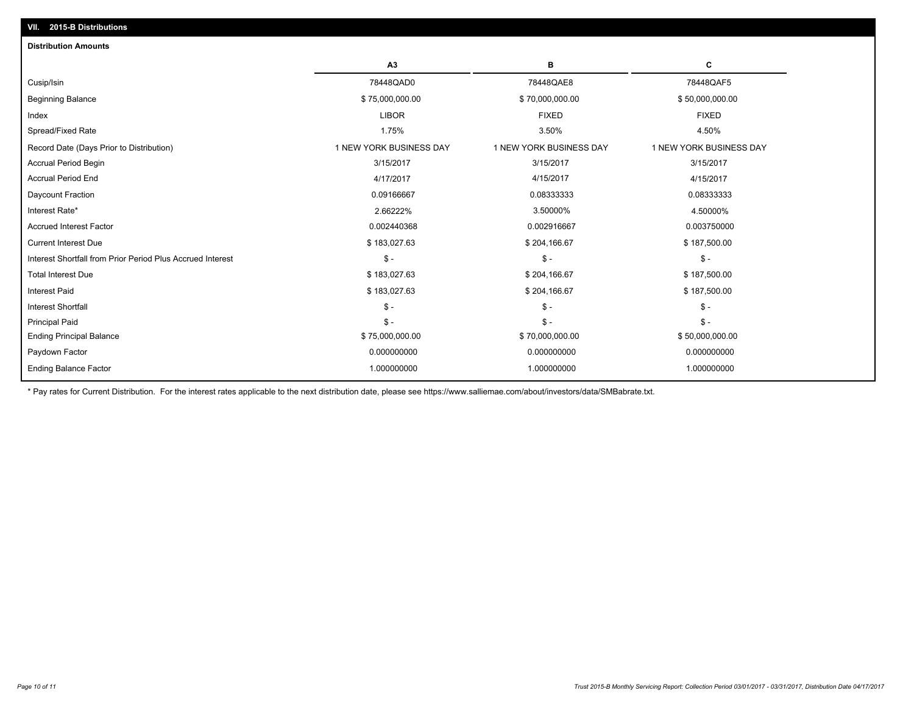| <b>Distribution Amounts</b>                                |                         |                         |                         |
|------------------------------------------------------------|-------------------------|-------------------------|-------------------------|
|                                                            | A <sub>3</sub>          | в                       | С                       |
| Cusip/Isin                                                 | 78448QAD0               | 78448QAE8               | 78448QAF5               |
| <b>Beginning Balance</b>                                   | \$75,000,000.00         | \$70,000,000.00         | \$50,000,000.00         |
| Index                                                      | <b>LIBOR</b>            | <b>FIXED</b>            | <b>FIXED</b>            |
| Spread/Fixed Rate                                          | 1.75%                   | 3.50%                   | 4.50%                   |
| Record Date (Days Prior to Distribution)                   | 1 NEW YORK BUSINESS DAY | 1 NEW YORK BUSINESS DAY | 1 NEW YORK BUSINESS DAY |
| <b>Accrual Period Begin</b>                                | 3/15/2017               | 3/15/2017               | 3/15/2017               |
| <b>Accrual Period End</b>                                  | 4/17/2017               | 4/15/2017               | 4/15/2017               |
| Daycount Fraction                                          | 0.09166667              | 0.08333333              | 0.08333333              |
| Interest Rate*                                             | 2.66222%                | 3.50000%                | 4.50000%                |
| <b>Accrued Interest Factor</b>                             | 0.002440368             | 0.002916667             | 0.003750000             |
| <b>Current Interest Due</b>                                | \$183,027.63            | \$204,166.67            | \$187,500.00            |
| Interest Shortfall from Prior Period Plus Accrued Interest | $\mathsf{\$}$ -         | $\mathsf{\$}$ -         | $\mathsf{\$}$ -         |
| <b>Total Interest Due</b>                                  | \$183,027.63            | \$204,166.67            | \$187,500.00            |
| <b>Interest Paid</b>                                       | \$183,027.63            | \$204,166.67            | \$187,500.00            |
| <b>Interest Shortfall</b>                                  | $\mathsf{\$}$ -         | $S -$                   | $\mathsf{\$}$ -         |
| <b>Principal Paid</b>                                      | $\mathsf{\$}$ -         | $S -$                   | $\mathsf{\$}$ -         |
| <b>Ending Principal Balance</b>                            | \$75,000,000.00         | \$70,000,000.00         | \$50,000,000.00         |
| Paydown Factor                                             | 0.000000000             | 0.000000000             | 0.000000000             |
| <b>Ending Balance Factor</b>                               | 1.000000000             | 1.000000000             | 1.000000000             |

\* Pay rates for Current Distribution. For the interest rates applicable to the next distribution date, please see https://www.salliemae.com/about/investors/data/SMBabrate.txt.

**VII. 2015-B Distributions**